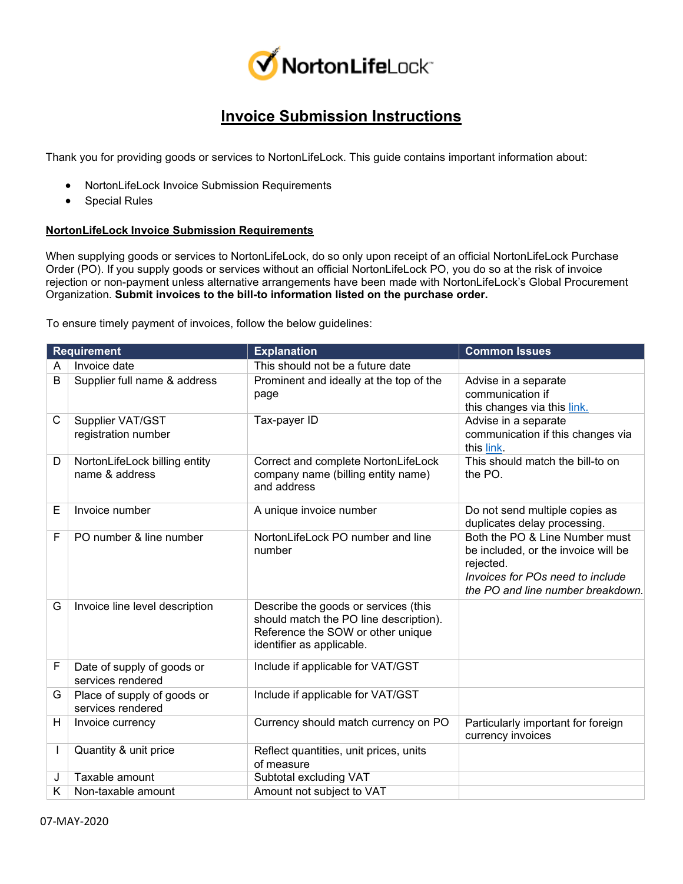

## **Invoice Submission Instructions**

Thank you for providing goods or services to NortonLifeLock. This guide contains important information about:

- NortonLifeLock Invoice Submission Requirements
- Special Rules

## **NortonLifeLock Invoice Submission Requirements**

When supplying goods or services to NortonLifeLock, do so only upon receipt of an official NortonLifeLock Purchase Order (PO). If you supply goods or services without an official NortonLifeLock PO, you do so at the risk of invoice rejection or non-payment unless alternative arrangements have been made with NortonLifeLock's Global Procurement Organization. **Submit invoices to the bill-to information listed on the purchase order.**

To ensure timely payment of invoices, follow the below guidelines:

| <b>Requirement</b> |                                                  | <b>Explanation</b>                                                                                                                               | <b>Common Issues</b>                                                                                                                                        |
|--------------------|--------------------------------------------------|--------------------------------------------------------------------------------------------------------------------------------------------------|-------------------------------------------------------------------------------------------------------------------------------------------------------------|
| A                  | Invoice date                                     | This should not be a future date                                                                                                                 |                                                                                                                                                             |
| B                  | Supplier full name & address                     | Prominent and ideally at the top of the<br>page                                                                                                  | Advise in a separate<br>communication if<br>this changes via this link.                                                                                     |
| C                  | Supplier VAT/GST<br>registration number          | Tax-payer ID                                                                                                                                     | Advise in a separate<br>communication if this changes via<br>this link.                                                                                     |
| D                  | NortonLifeLock billing entity<br>name & address  | Correct and complete NortonLifeLock<br>company name (billing entity name)<br>and address                                                         | This should match the bill-to on<br>the PO.                                                                                                                 |
| Е                  | Invoice number                                   | A unique invoice number                                                                                                                          | Do not send multiple copies as<br>duplicates delay processing.                                                                                              |
| F                  | PO number & line number                          | NortonLifeLock PO number and line<br>number                                                                                                      | Both the PO & Line Number must<br>be included, or the invoice will be<br>rejected.<br>Invoices for POs need to include<br>the PO and line number breakdown. |
| G                  | Invoice line level description                   | Describe the goods or services (this<br>should match the PO line description).<br>Reference the SOW or other unique<br>identifier as applicable. |                                                                                                                                                             |
| F                  | Date of supply of goods or<br>services rendered  | Include if applicable for VAT/GST                                                                                                                |                                                                                                                                                             |
| G                  | Place of supply of goods or<br>services rendered | Include if applicable for VAT/GST                                                                                                                |                                                                                                                                                             |
| Н                  | Invoice currency                                 | Currency should match currency on PO                                                                                                             | Particularly important for foreign<br>currency invoices                                                                                                     |
|                    | Quantity & unit price                            | Reflect quantities, unit prices, units<br>of measure                                                                                             |                                                                                                                                                             |
| J                  | Taxable amount                                   | Subtotal excluding VAT                                                                                                                           |                                                                                                                                                             |
| Κ                  | Non-taxable amount                               | Amount not subject to VAT                                                                                                                        |                                                                                                                                                             |